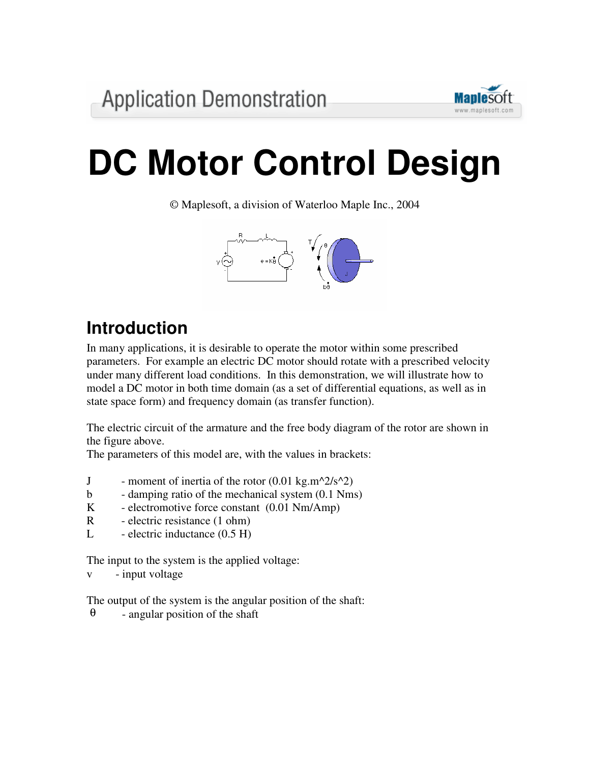

# **DC Motor Control Design**

© Maplesoft, a division of Waterloo Maple Inc., 2004



# **Introduction**

In many applications, it is desirable to operate the motor within some prescribed parameters. For example an electric DC motor should rotate with a prescribed velocity under many different load conditions. In this demonstration, we will illustrate how to model a DC motor in both time domain (as a set of differential equations, as well as in state space form) and frequency domain (as transfer function).

The electric circuit of the armature and the free body diagram of the rotor are shown in the figure above.

The parameters of this model are, with the values in brackets:

- J moment of inertia of the rotor  $(0.01 \text{ kg.m}^2/\text{s}^2)$
- b damping ratio of the mechanical system (0.1 Nms)
- K electromotive force constant (0.01 Nm/Amp)
- R electric resistance (1 ohm)
- L electric inductance  $(0.5 \text{ H})$

The input to the system is the applied voltage:

v - input voltage

The output of the system is the angular position of the shaft:

 $\theta$  - angular position of the shaft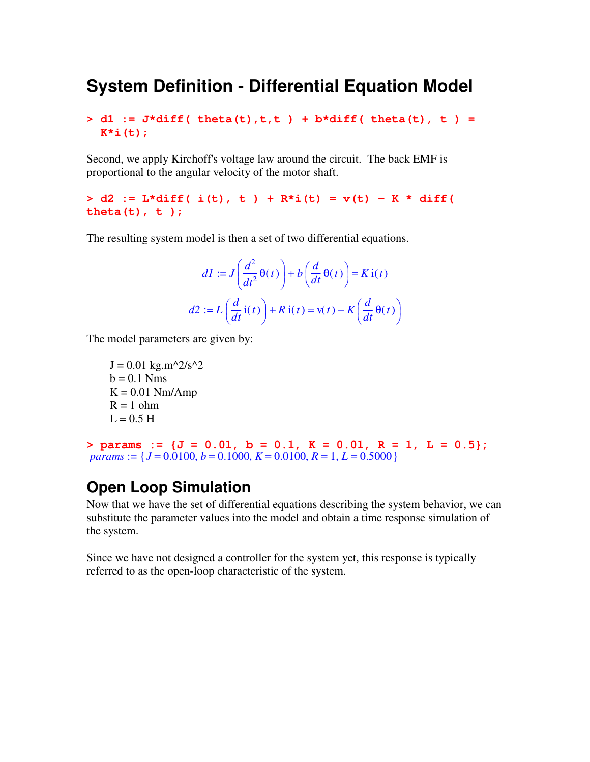#### **System Definition - Differential Equation Model**

**> d1 := J\*diff( theta(t),t,t ) + b\*diff( theta(t), t ) = K\*i(t);**

Second, we apply Kirchoff's voltage law around the circuit. The back EMF is proportional to the angular velocity of the motor shaft.

**> d2 := L\*diff( i(t), t ) + R\*i(t) = v(t) - K \* diff( theta(t), t );**

The resulting system model is then a set of two differential equations.

$$
dI := J\left(\frac{d^2}{dt^2}\Theta(t)\right) + b\left(\frac{d}{dt}\Theta(t)\right) = K i(t)
$$

$$
d2 := L\left(\frac{d}{dt}i(t)\right) + R i(t) = v(t) - K\left(\frac{d}{dt}\Theta(t)\right)
$$

The model parameters are given by:

 $J = 0.01$  kg.m^2/s^2  $b = 0.1$  Nms  $K = 0.01$  Nm/Amp  $R = 1$  ohm  $L = 0.5$  H

**> params := {J = 0.01, b = 0.1, K = 0.01, R = 1, L = 0.5};** *params* :=  ${J = 0.0100, b = 0.1000, K = 0.0100, R = 1, L = 0.5000}$ 

#### **Open Loop Simulation**

Now that we have the set of differential equations describing the system behavior, we can substitute the parameter values into the model and obtain a time response simulation of the system.

Since we have not designed a controller for the system yet, this response is typically referred to as the open-loop characteristic of the system.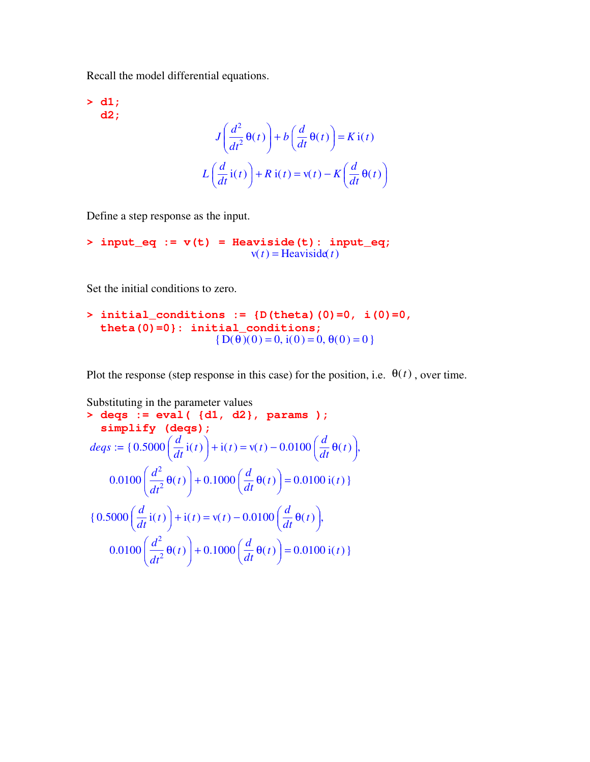Recall the model differential equations.

**> d1; d2;**  $J\left[\frac{a}{\epsilon_0}\theta(t)\right]+b\left[\frac{a}{\epsilon}\theta(t)\right]=$ ſ  $\overline{\mathcal{L}}$  $\overline{\phantom{a}}$  $\setminus$ J  $\left(\frac{d}{dt^2}\theta(t)\right)$  $d^2$  $\left(\frac{t^2}{t^2}\theta(t)\right) + b\left(t\right)$  $\left(\frac{d}{dt}\theta(t)\right)$  $\frac{d}{dt} \theta(t)$  $\left[\frac{1}{t}\Theta(t)\right]$  =  $K$ **i**(*t*)  $L\left(\frac{d}{dt}\mathrm{i}(t)\right) + R\mathrm{i}(t) =$  $\left(\frac{d}{dt}$ **i** $(t)\right)$  $\frac{d}{dt}$ **i**(t)  $\frac{d}{dt}$ **i**(*t*) + *R* **i**(*t*) = **v**(*t*) - *K*  $\left(\frac{d}{dt}\right)$  $\left(\frac{d}{dt}\Theta(t)\right)$  $\frac{d}{dt} \theta(t)$ *t* θ(*t*)

Define a step response as the input.

$$
> input\_eq := v(t) = Heaviside(t): input\_eq;
$$
  

$$
v(t) = Heaviside(t)
$$

Set the initial conditions to zero.

```
> initial_conditions := {D(theta)(0)=0, i(0)=0,
  theta(0)=0}: initial_conditions;
                      {D(\theta)(0) = 0, i(0) = 0, \theta(0) = 0 }
```
Plot the response (step response in this case) for the position, i.e.  $\theta(t)$ , over time.

Substituting in the parameter values  
\n> 
$$
\deg
$$
 :=  $\text{eval} \left( \{d1, d2\}, \text{params} \right);$   
\n $\text{simply} \{deqs} := \{0.5000 \left( \frac{d}{dt} i(t) \right) + i(t) = v(t) - 0.0100 \left( \frac{d}{dt} \theta(t) \right),$   
\n $0.0100 \left( \frac{d^2}{dt^2} \theta(t) \right) + 0.1000 \left( \frac{d}{dt} \theta(t) \right) = 0.0100 i(t) \}$   
\n $\{0.5000 \left( \frac{d}{dt} i(t) \right) + i(t) = v(t) - 0.0100 \left( \frac{d}{dt} \theta(t) \right),$   
\n $0.0100 \left( \frac{d^2}{dt^2} \theta(t) \right) + 0.1000 \left( \frac{d}{dt} \theta(t) \right) = 0.0100 i(t) \}$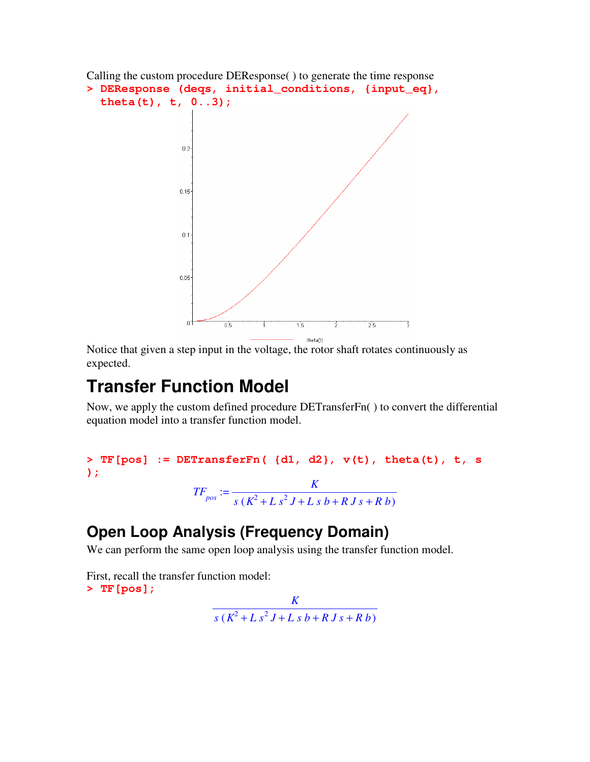```
Calling the custom procedure DEResponse( ) to generate the time response
> DEResponse (deqs, initial_conditions, {input_eq},
   theta(t), t, 0..3);
                     0.2<sup>°</sup>0.150.10.05<sup>°</sup>\overline{0.5}3
                                               1.53
                                                              2.5
```
Notice that given a step input in the voltage, the rotor shaft rotates continuously as expected.

## **Transfer Function Model**

Now, we apply the custom defined procedure DETransferFn( ) to convert the differential equation model into a transfer function model.

theta(t)

```
> TF[pos] := DETransferFn( {d1, d2}, v(t), theta(t), t, s
);
                      TF_{pos} := \frac{K}{s(K^2 + L s^2 L + L s^2)}s (K^2 + L s^2 J + L s b + R J s + R b)
```
#### **Open Loop Analysis (Frequency Domain)**

We can perform the same open loop analysis using the transfer function model.

First, recall the transfer function model: **> TF[pos];**

*K*  $s (K^2 + L s^2 J + L s b + R J s + R b)$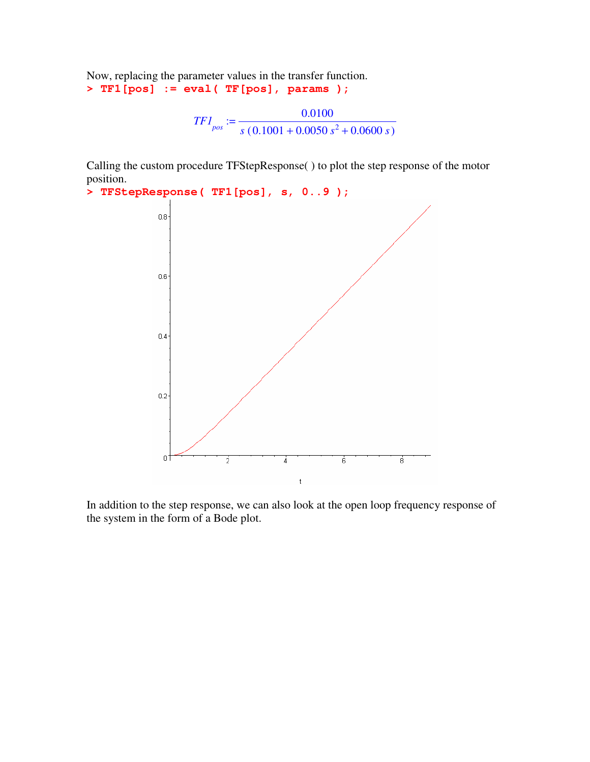Now, replacing the parameter values in the transfer function. **> TF1[pos] := eval( TF[pos], params );**

$$
TFI_{pos} := \frac{0.0100}{s (0.1001 + 0.0050 s^2 + 0.0600 s)}
$$

Calling the custom procedure TFStepResponse( ) to plot the step response of the motor position.

```
> TFStepResponse( TF1[pos], s, 0..9 );
                      0.8<sup>°</sup>0.60.40.20Ť
                                            \frac{1}{2}\frac{1}{4}6
                                                                                                   \overline{8}\mathfrak t
```
In addition to the step response, we can also look at the open loop frequency response of the system in the form of a Bode plot.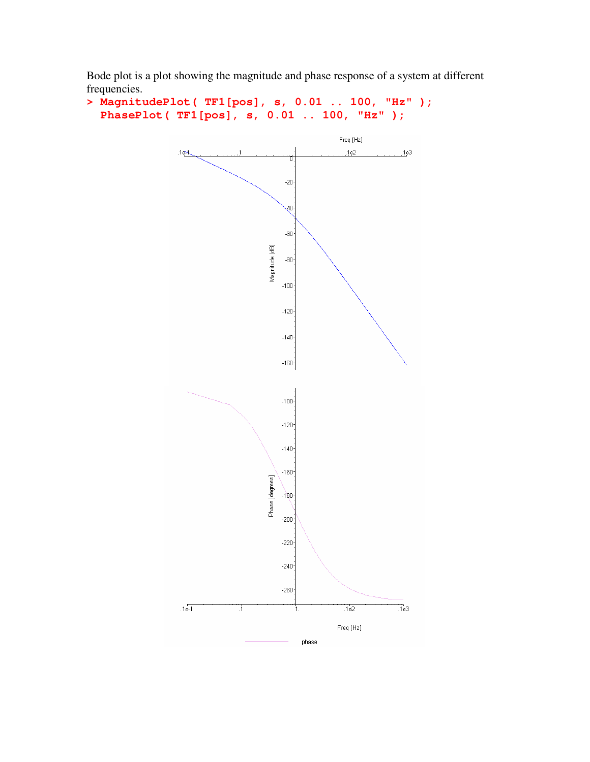Bode plot is a plot showing the magnitude and phase response of a system at different frequencies.

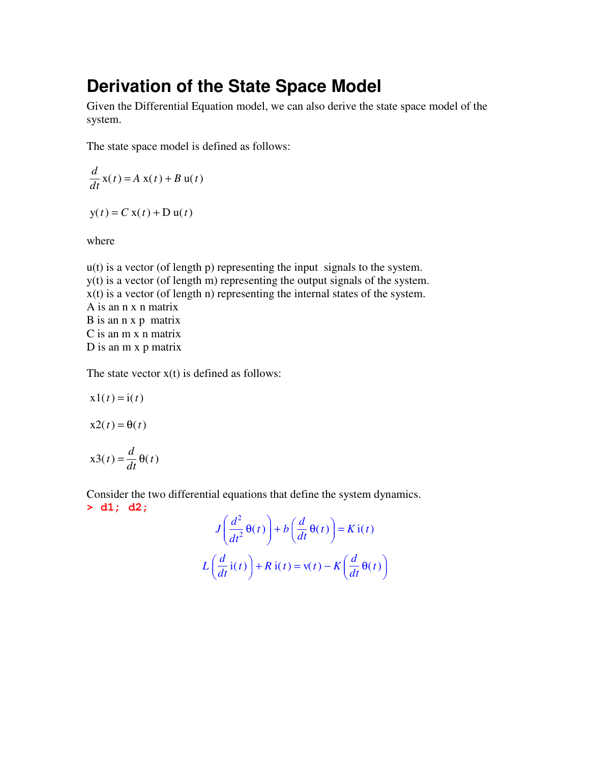#### **Derivation of the State Space Model**

Given the Differential Equation model, we can also derive the state space model of the system.

The state space model is defined as follows:

$$
\frac{d}{dt}\mathbf{x}(t) = A\mathbf{x}(t) + B\mathbf{u}(t)
$$

 $y(t) = C x(t) + D u(t)$ 

where

u(t) is a vector (of length p) representing the input signals to the system. y(t) is a vector (of length m) representing the output signals of the system.  $x(t)$  is a vector (of length n) representing the internal states of the system. A is an n x n matrix B is an n x p matrix C is an m x n matrix D is an m x p matrix

The state vector  $x(t)$  is defined as follows:

$$
x1(t) = i(t)
$$

 $x2(t) = \theta(t)$ 

$$
x3(t) = \frac{d}{dt}\theta(t)
$$

Consider the two differential equations that define the system dynamics. **> d1; d2;**

$$
J\left(\frac{d^2}{dt^2}\theta(t)\right) + b\left(\frac{d}{dt}\theta(t)\right) = K i(t)
$$

$$
L\left(\frac{d}{dt}i(t)\right) + R i(t) = v(t) - K\left(\frac{d}{dt}\theta(t)\right)
$$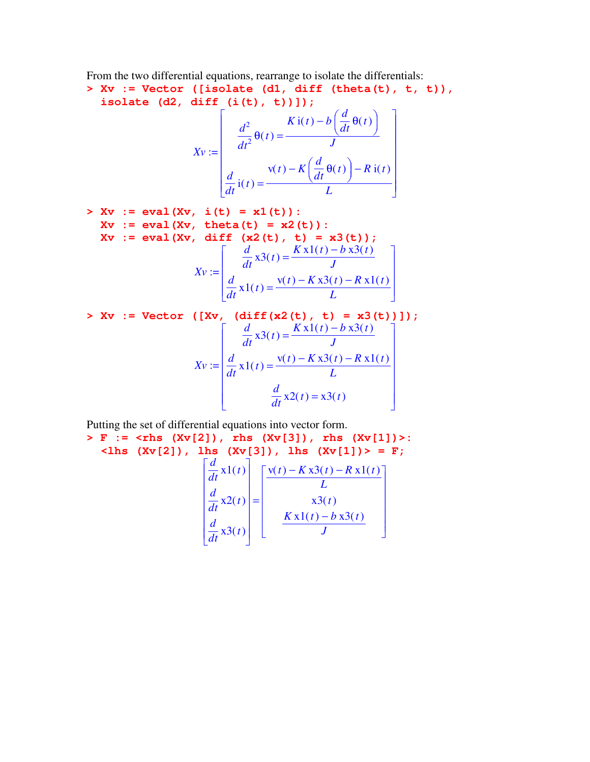From the two differential equations, rearrange to isolate the differentials:

**> Xv := Vector ([isolate (d1, diff (theta(t), t, t)), isolate (d2, diff (i(t), t))]);** Г ן *d*

$$
Xv := \begin{bmatrix} \frac{d^2}{dt^2} \theta(t) = \frac{K i(t) - b\left(\frac{d}{dt}\theta(t)\right)}{J} \\ \frac{d}{dt} i(t) = \frac{v(t) - K\left(\frac{d}{dt}\theta(t)\right) - R i(t)}{L} \end{bmatrix}
$$

>> Xv := eval (Xv, i(t) = x1(t)):   
Xv := eval (Xv, theta(t) = x2(t)):   
Xv := eval (Xv, diff (x2(t), t) = x3(t));   

$$
Xv := \begin{bmatrix} \frac{d}{dt} x3(t) = \frac{Kx1(t) - b x3(t)}{J} \\ \frac{d}{dt} x1(t) = \frac{v(t) - Kx3(t) - Rx1(t)}{L} \end{bmatrix}
$$

> Xv := Vector ([Xv, (diff(x2(t), t) = x3(t))]);  

$$
Xv := \begin{bmatrix} \frac{d}{dt}x3(t) = \frac{Kx1(t) - b x3(t)}{J} \\ \frac{d}{dt}x1(t) = \frac{v(t) - Kx3(t) - R x1(t)}{L} \\ \frac{d}{dt}x2(t) = x3(t) \end{bmatrix}
$$

Putting the set of differential equations into vector form.

> F := 
$$
\langle
$$
rhs (Xv[2]), rhs (Xv[3]), rhs (Xv[1]) > :   
 $\langle$ lhs (Xv[2]), lhs (Xv[3]), lhs (Xv[1]) > = F;  
 $\begin{bmatrix} \frac{d}{dt}x1(t) \\ \frac{d}{dt}x2(t) \\ \frac{d}{dt}x3(t) \end{bmatrix} = \begin{bmatrix} \frac{v(t) - Kx3(t) - Rx1(t)}{L} \\ \frac{Kx1(t) - bx3(t)}{J} \end{bmatrix}$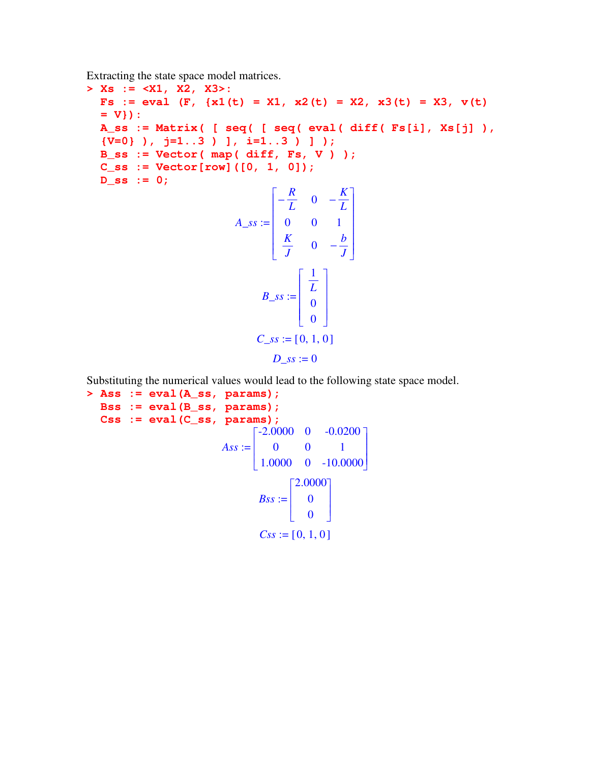Extracting the state space model matrices.

**> Xs := <X1, X2, X3>: Fs** := **eval**  $(F, \{x1(t) = X1, x2(t) = X2, x3(t) = X3, v(t)$ **= V}): A\_ss := Matrix( [ seq( [ seq( eval( diff( Fs[i], Xs[j] ), {V=0} ), j=1..3 ) ], i=1..3 ) ] ); B\_ss := Vector( map( diff, Fs, V ) ); C\_ss := Vector[row]([0, 1, 0]); D\_ss := 0;**  $A\_ss :=$ Г L ן  $\rfloor$   $-\frac{R}{I}$  $\frac{R}{L}$  0  $-\frac{K}{L}$ *L* 0 0 1 *K*  $\frac{K}{J}$  0  $-\frac{b}{J}$ *J*  $B$ *\_ss* := Г L ⅂  $\overline{\phantom{a}}$  1 *L*  $\boldsymbol{0}$  $\boldsymbol{0}$ *C\_ss* := [0, 1, 0]  $D$ *\_ss* := 0

Substituting the numerical values would lead to the following state space model.

**> Ass := eval(A\_ss, params); Bss := eval(B\_ss, params); Css := eval(C\_ss, params);**  $Ass :=$ Г L ן J  $-2.0000 \quad 0 \quad -0.0200$ 0 0 1 1.0000 0 -10.0000  $Bss :=$ Г L ٦  $\rfloor$  2.0000 0 0  $Css := [0, 1, 0]$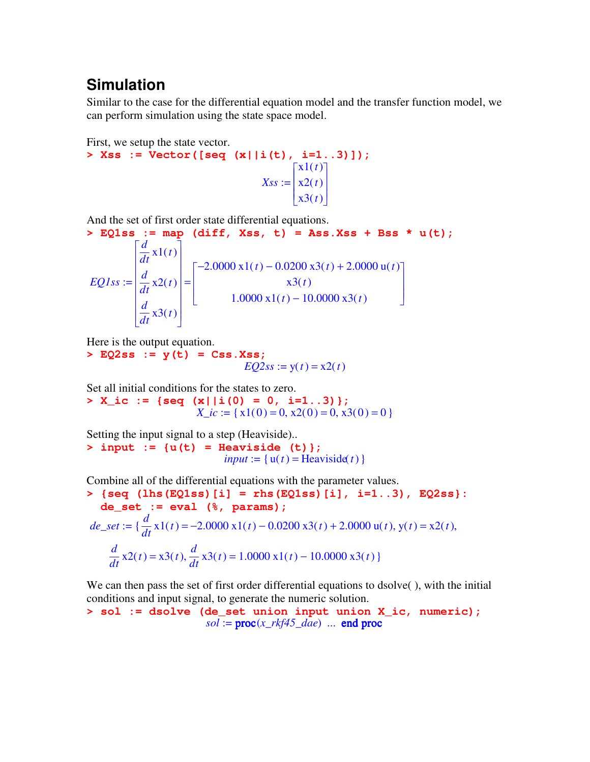#### **Simulation**

Similar to the case for the differential equation model and the transfer function model, we can perform simulation using the state space model.

First, we setup the state vector. **> Xss := Vector([seq (x||i(t), i=1..3)]);** *Xss* := Г L 1  $\overline{\phantom{a}}$  x1(*t*) x2(*t*) x3(*t*)

And the set of first order state differential equations.

> EQ1ss := map (diff, Xss, t) = Ass.Xss + Bss \* u(t);  
\n
$$
EQ1ss := \begin{bmatrix} \frac{d}{dt}x1(t) \\ \frac{d}{dt}x2(t) \\ \frac{d}{dt}x3(t) \end{bmatrix} = \begin{bmatrix} -2.0000x1(t) - 0.0200x3(t) + 2.0000u(t) \\ x3(t) \\ 1.0000x1(t) - 10.0000x3(t) \end{bmatrix}
$$

Here is the output equation.

**> EQ2ss := y(t) = Css.Xss;**  $EQ2ss := y(t) = x2(t)$ 

Set all initial conditions for the states to zero.

**> X\_ic := {seq (x||i(0) = 0, i=1..3)};**  $X\_ic := \{x1(0) = 0, x2(0) = 0, x3(0) = 0\}$ 

Setting the input signal to a step (Heaviside).. **> input := {u(t) = Heaviside (t)};**  $input := \{u(t) = Heaviside(t)\}\$ 

Combine all of the differential equations with the parameter values.

>> {seq (lhs (EQ1ss) [i] = rhs (EQ1ss) [i], i=1..3), EQ2ss}:  
de\_set := eval (\*, params);  

$$
de_set := \{\frac{d}{dt}x1(t) = -2.0000x1(t) - 0.0200x3(t) + 2.0000u(t), y(t) = x2(t),
$$

$$
\frac{d}{dt}x2(t) = x3(t), \frac{d}{dt}x3(t) = 1.0000x1(t) - 10.0000x3(t)
$$

We can then pass the set of first order differential equations to dsolve( ), with the initial conditions and input signal, to generate the numeric solution.

$$
> sol := dsolve (de_set union input union X_i.c, numeric);
$$
\n
$$
sol := proc(x_r k f 45_d ae) \dots end proc
$$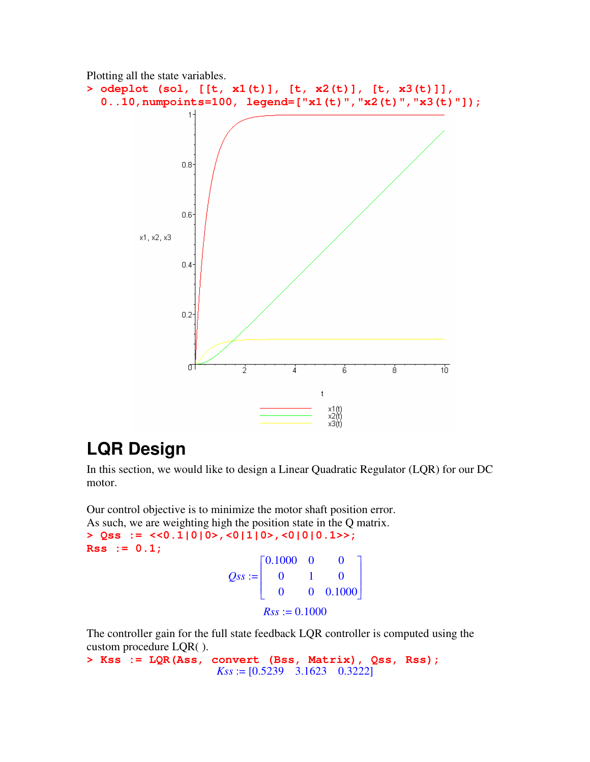

## **LQR Design**

In this section, we would like to design a Linear Quadratic Regulator (LQR) for our DC motor.

Our control objective is to minimize the motor shaft position error. As such, we are weighting high the position state in the Q matrix.

**> Qss := <<0.1|0|0>,<0|1|0>,<0|0|0.1>>; Rss := 0.1;**  $Qss :=$ Г L ן J  $0.1000 \quad 0 \quad 0$ 0 1 0 0 0 0.1000  $Rss := 0.1000$ 

The controller gain for the full state feedback LQR controller is computed using the custom procedure LQR( ).

**> Kss := LQR(Ass, convert (Bss, Matrix), Qss, Rss);** *Kss* := [0.5239 3.1623 0.3222]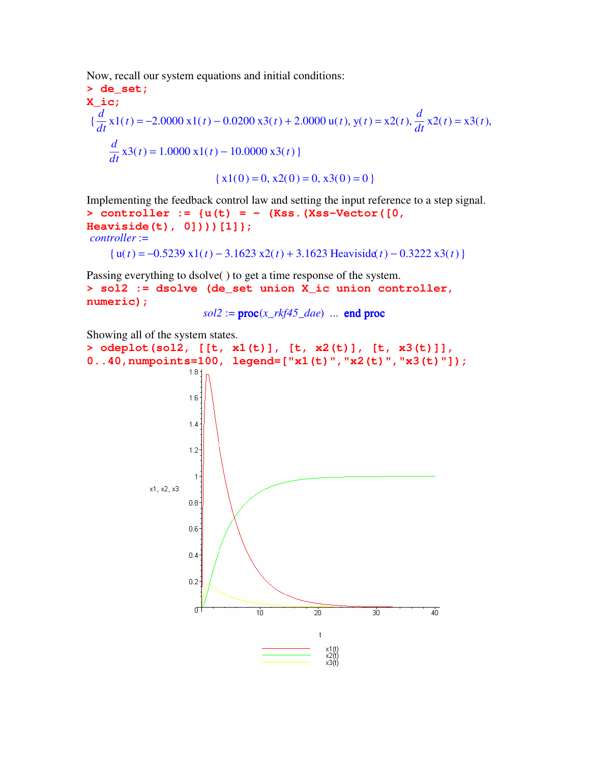Now, recall our system equations and initial conditions:

> de\_set;  
\n**X\_i.c;**  
\n
$$
\{\frac{d}{dt} x1(t) = -2.0000 x1(t) - 0.0200 x3(t) + 2.0000 u(t), y(t) = x2(t), \frac{d}{dt} x2(t) = x3(t),
$$
\n
$$
\frac{d}{dt} x3(t) = 1.0000 x1(t) - 10.0000 x3(t)
$$
\n
$$
\{x1(0) = 0, x2(0) = 0, x3(0) = 0\}
$$

Implementing the feedback control law and setting the input reference to a step signal. **> controller := {u(t) = - (Kss.(Xss-Vector([0, Heaviside(t), 0])))[1]};** *controller* :=

{u(*t*) = −0.5239 x1(*t*) − 3.1623 x2(*t*) + 3.1623 Heaviside(*t*) − 0.3222 x3(*t*)}

Passing everything to dsolve( ) to get a time response of the system. **> sol2 := dsolve (de\_set union X\_ic union controller, numeric);**

 $sol2 := \text{proc}(x_r k f 45\_dae)$  ... end proc

Showing all of the system states.

```
> odeplot(sol2, [[t, x1(t)], [t, x2(t)], [t, x3(t)]],
0..40,numpoints=100, legend=["x1(t)","x2(t)","x3(t)"]);1.8 -1.6\,1.41.2<sup>5</sup>\overline{1}x1. x2. x3
                           0.80.6<sub>1</sub>0.4<sub>1</sub>0.2 -\sigma10
                                                              \overline{20}30
                                                                                              40
                                                               ^\mathrm{t}x1(t)<br>x2(t)<br>x3(t)
```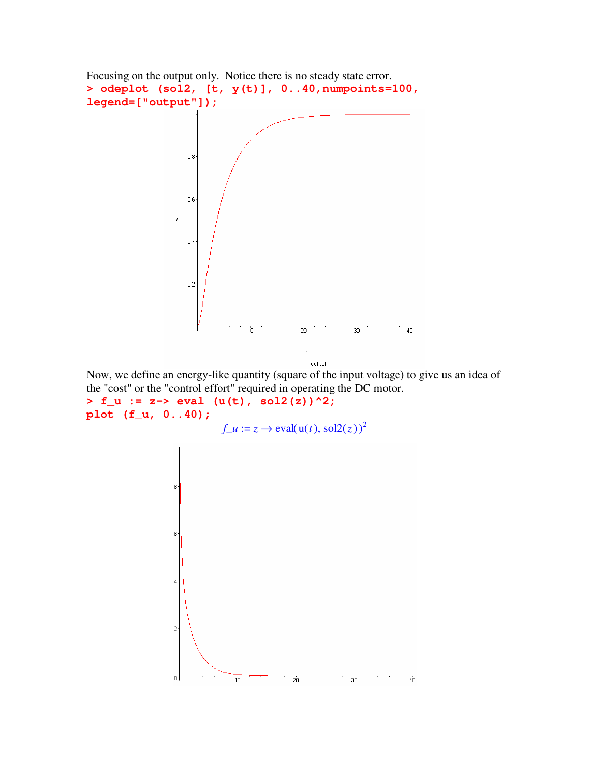

Now, we define an energy-like quantity (square of the input voltage) to give us an idea of the "cost" or the "control effort" required in operating the DC motor.

**> f\_u := z-> eval (u(t), sol2(z))^2; plot (f\_u, 0..40);**

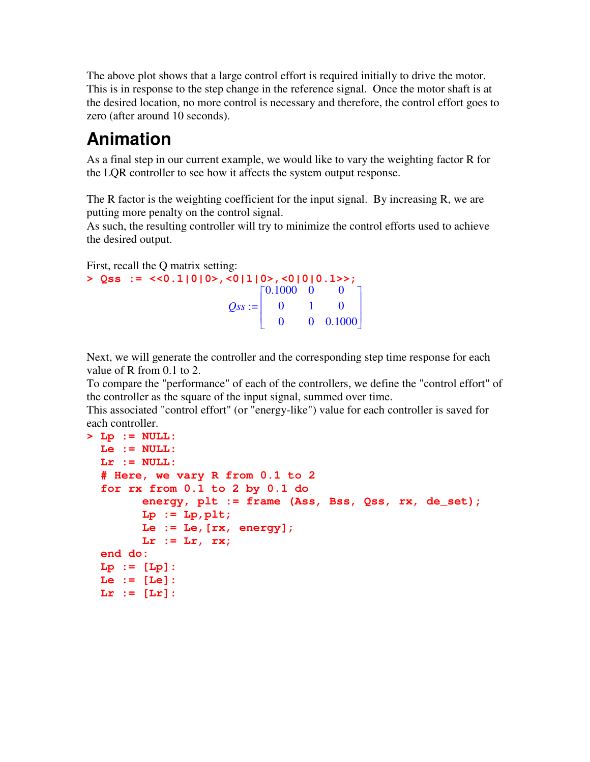The above plot shows that a large control effort is required initially to drive the motor. This is in response to the step change in the reference signal. Once the motor shaft is at the desired location, no more control is necessary and therefore, the control effort goes to zero (after around 10 seconds).

## **Animation**

As a final step in our current example, we would like to vary the weighting factor R for the LQR controller to see how it affects the system output response.

The R factor is the weighting coefficient for the input signal. By increasing R, we are putting more penalty on the control signal.

As such, the resulting controller will try to minimize the control efforts used to achieve the desired output.

First, recall the Q matrix setting:

```
> Qss := <<0.1|0|0>,<0|1|0>,<0|0|0.1>>;
                            Qss :=Г
                                   L

                                                      ן
                                                      J
                                                      


                                    0.1000 \quad 0 \quad 00 1 0
                                      0 0 0.1000
```
Next, we will generate the controller and the corresponding step time response for each value of R from 0.1 to 2.

To compare the "performance" of each of the controllers, we define the "control effort" of the controller as the square of the input signal, summed over time.

This associated "control effort" (or "energy-like") value for each controller is saved for each controller.

```
> Lp := NULL:
 Le := NULL:
 Lr := NULL:
  # Here, we vary R from 0.1 to 2
  for rx from 0.1 to 2 by 0.1 do
        energy, plt := frame (Ass, Bss, Qss, rx, de_set);
        Lp := Lp, plt;Le := Le,[rx, energy];
        Lr := Lr, rx;
  end do:
  Lp := [Lp]:
  Le := [Le]:
 Lr := [Lr]:
```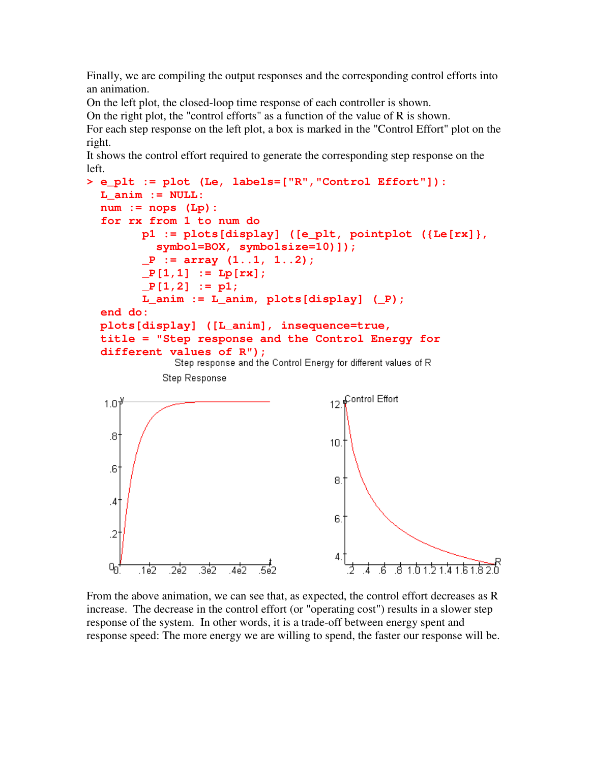Finally, we are compiling the output responses and the corresponding control efforts into an animation.

On the left plot, the closed-loop time response of each controller is shown.

On the right plot, the "control efforts" as a function of the value of R is shown.

For each step response on the left plot, a box is marked in the "Control Effort" plot on the right.

It shows the control effort required to generate the corresponding step response on the left.

```
> e_plt := plot (Le, labels=["R","Control Effort"]):
  L_anim := NULL:
  num := nops (Lp):
  for rx from 1 to num do
         p1 := plots[display] ([e_plt, pointplot ({Le[rx]},
            symbol=BOX, symbolsize=10)]);
         _P := array (1..1, 1..2);
         _P[1,1] := Lp[rx];
         _P[1,2] := p1;
         L_anim := L_anim, plots[display] (_P);
  end do:
  plots[display] ([L_anim], insequence=true,
  title = "Step response and the Control Energy for
  different values of R");<br>Step response and the Control Energy for different values of R
             Step Response
                                              Control Effort
   1.0<sup>3</sup>12
    .81
                                           10.
    6.
                                            8.
    4.
                                            6.1
    \overline{2}Q_{\Omega}ᠼ
                                                         1h15141 h1\bar{h}उँह
         .1e2
              75
                                                       78
                                                    .6
```
From the above animation, we can see that, as expected, the control effort decreases as R increase. The decrease in the control effort (or "operating cost") results in a slower step response of the system. In other words, it is a trade-off between energy spent and response speed: The more energy we are willing to spend, the faster our response will be.